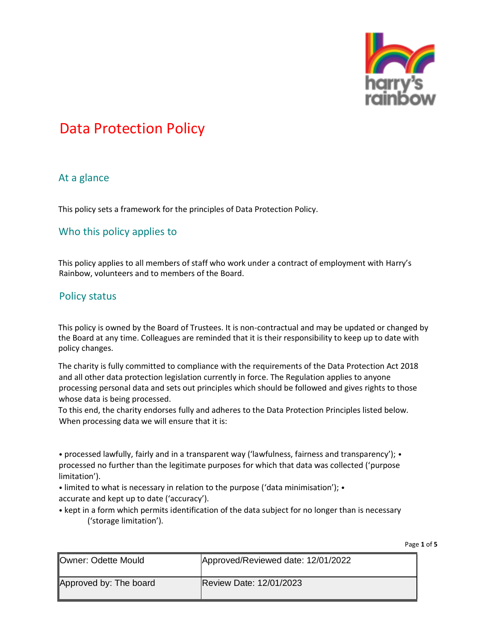

#### At a glance

This policy sets a framework for the principles of Data Protection Policy.

### Who this policy applies to

This policy applies to all members of staff who work under a contract of employment with Harry's Rainbow, volunteers and to members of the Board.

#### Policy status

This policy is owned by the Board of Trustees. It is non-contractual and may be updated or changed by the Board at any time. Colleagues are reminded that it is their responsibility to keep up to date with policy changes.

The charity is fully committed to compliance with the requirements of the Data Protection Act 2018 and all other data protection legislation currently in force. The Regulation applies to anyone processing personal data and sets out principles which should be followed and gives rights to those whose data is being processed.

To this end, the charity endorses fully and adheres to the Data Protection Principles listed below. When processing data we will ensure that it is:

• processed lawfully, fairly and in a transparent way ('lawfulness, fairness and transparency'); • processed no further than the legitimate purposes for which that data was collected ('purpose limitation').

• limited to what is necessary in relation to the purpose ('data minimisation'); • accurate and kept up to date ('accuracy').

• kept in a form which permits identification of the data subject for no longer than is necessary ('storage limitation').

| <b>Owner: Odette Mould</b> | Approved/Reviewed date: 12/01/2022 |
|----------------------------|------------------------------------|
| Approved by: The board     | <b>Review Date: 12/01/2023</b>     |

Page **1** of **5**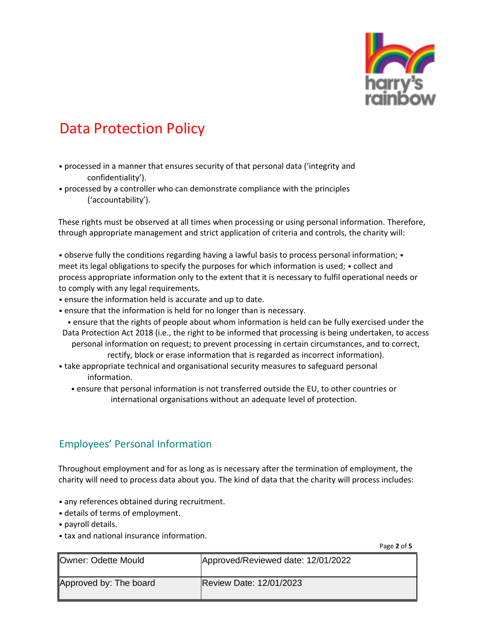

- processed in a manner that ensures security of that personal data ('integrity and confidentiality').
- processed by a controller who can demonstrate compliance with the principles ('accountability').

These rights must be observed at all times when processing or using personal information. Therefore, through appropriate management and strict application of criteria and controls, the charity will:

• observe fully the conditions regarding having a lawful basis to process personal information; • meet its legal obligations to specify the purposes for which information is used; • collect and process appropriate information only to the extent that it is necessary to fulfil operational needs or to comply with any legal requirements.

- ensure the information held is accurate and up to date.
- ensure that the information is held for no longer than is necessary.
- ensure that the rights of people about whom information is held can be fully exercised under the Data Protection Act 2018 (i.e., the right to be informed that processing is being undertaken, to access personal information on request; to prevent processing in certain circumstances, and to correct,
	- rectify, block or erase information that is regarded as incorrect information).
- take appropriate technical and organisational security measures to safeguard personal information.
	- ensure that personal information is not transferred outside the EU, to other countries or international organisations without an adequate level of protection.

#### Employees' Personal Information

Throughout employment and for as long as is necessary after the termination of employment, the charity will need to process data about you. The kind of data that the charity will process includes:

- any references obtained during recruitment.
- details of terms of employment.
- payroll details.
- tax and national insurance information.

Page **2** of **5** 

| <b>Owner: Odette Mould</b> | Approved/Reviewed date: 12/01/2022 |
|----------------------------|------------------------------------|
| Approved by: The board     | <b>Review Date: 12/01/2023</b>     |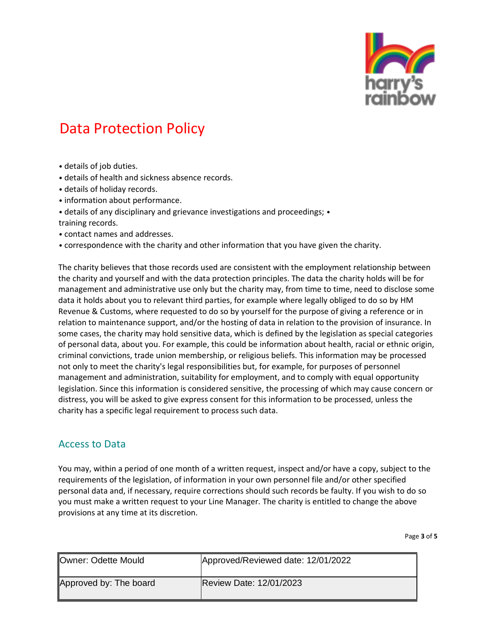

- details of job duties.
- details of health and sickness absence records.
- details of holiday records.
- information about performance.
- details of any disciplinary and grievance investigations and proceedings; •
- training records.
- contact names and addresses.
- correspondence with the charity and other information that you have given the charity.

The charity believes that those records used are consistent with the employment relationship between the charity and yourself and with the data protection principles. The data the charity holds will be for management and administrative use only but the charity may, from time to time, need to disclose some data it holds about you to relevant third parties, for example where legally obliged to do so by HM Revenue & Customs, where requested to do so by yourself for the purpose of giving a reference or in relation to maintenance support, and/or the hosting of data in relation to the provision of insurance. In some cases, the charity may hold sensitive data, which is defined by the legislation as special categories of personal data, about you. For example, this could be information about health, racial or ethnic origin, criminal convictions, trade union membership, or religious beliefs. This information may be processed not only to meet the charity's legal responsibilities but, for example, for purposes of personnel management and administration, suitability for employment, and to comply with equal opportunity legislation. Since this information is considered sensitive, the processing of which may cause concern or distress, you will be asked to give express consent for this information to be processed, unless the charity has a specific legal requirement to process such data.

#### Access to Data

You may, within a period of one month of a written request, inspect and/or have a copy, subject to the requirements of the legislation, of information in your own personnel file and/or other specified personal data and, if necessary, require corrections should such records be faulty. If you wish to do so you must make a written request to your Line Manager. The charity is entitled to change the above provisions at any time at its discretion.

Page **3** of **5** 

| Owner: Odette Mould    | Approved/Reviewed date: 12/01/2022 |
|------------------------|------------------------------------|
| Approved by: The board | Review Date: 12/01/2023            |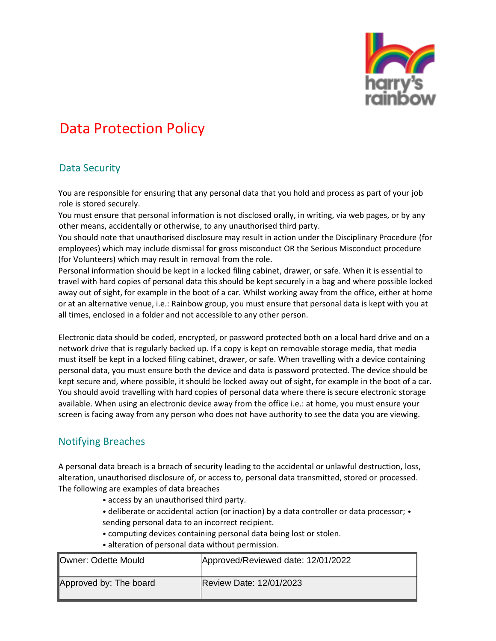

### Data Security

You are responsible for ensuring that any personal data that you hold and process as part of your job role is stored securely.

You must ensure that personal information is not disclosed orally, in writing, via web pages, or by any other means, accidentally or otherwise, to any unauthorised third party.

You should note that unauthorised disclosure may result in action under the Disciplinary Procedure (for employees) which may include dismissal for gross misconduct OR the Serious Misconduct procedure (for Volunteers) which may result in removal from the role.

Personal information should be kept in a locked filing cabinet, drawer, or safe. When it is essential to travel with hard copies of personal data this should be kept securely in a bag and where possible locked away out of sight, for example in the boot of a car. Whilst working away from the office, either at home or at an alternative venue, i.e.: Rainbow group, you must ensure that personal data is kept with you at all times, enclosed in a folder and not accessible to any other person.

Electronic data should be coded, encrypted, or password protected both on a local hard drive and on a network drive that is regularly backed up. If a copy is kept on removable storage media, that media must itself be kept in a locked filing cabinet, drawer, or safe. When travelling with a device containing personal data, you must ensure both the device and data is password protected. The device should be kept secure and, where possible, it should be locked away out of sight, for example in the boot of a car. You should avoid travelling with hard copies of personal data where there is secure electronic storage available. When using an electronic device away from the office i.e.: at home, you must ensure your screen is facing away from any person who does not have authority to see the data you are viewing.

### Notifying Breaches

A personal data breach is a breach of security leading to the accidental or unlawful destruction, loss, alteration, unauthorised disclosure of, or access to, personal data transmitted, stored or processed. The following are examples of data breaches

- access by an unauthorised third party.
- deliberate or accidental action (or inaction) by a data controller or data processor; sending personal data to an incorrect recipient.
- computing devices containing personal data being lost or stolen.
- alteration of personal data without permission.

| Owner: Odette Mould    | Approved/Reviewed date: 12/01/2022 |
|------------------------|------------------------------------|
| Approved by: The board | Review Date: 12/01/2023            |